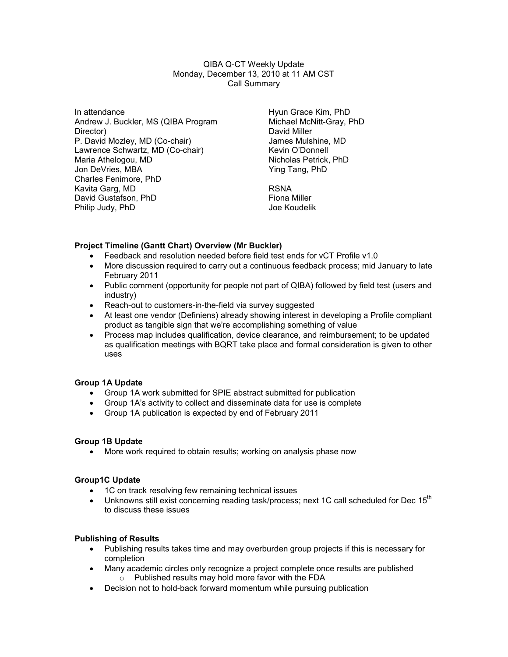QIBA Q-CT Weekly Update Monday, December 13, 2010 at 11 AM CST Call Summary

In attendance Andrew J. Buckler, MS (QIBA Program Director) P. David Mozley, MD (Co-chair) Lawrence Schwartz, MD (Co-chair) Maria Athelogou, MD Jon DeVries, MBA Charles Fenimore, PhD Kavita Garg, MD David Gustafson, PhD Philip Judy, PhD

Hyun Grace Kim, PhD Michael McNitt-Gray, PhD David Miller James Mulshine, MD Kevin O'Donnell Nicholas Petrick, PhD Ying Tang, PhD

RSNA Fiona Miller Joe Koudelik

### Project Timeline (Gantt Chart) Overview (Mr Buckler)

- Feedback and resolution needed before field test ends for vCT Profile v1.0
- More discussion required to carry out a continuous feedback process; mid January to late February 2011
- Public comment (opportunity for people not part of QIBA) followed by field test (users and industry)
- Reach-out to customers-in-the-field via survey suggested
- At least one vendor (Definiens) already showing interest in developing a Profile compliant product as tangible sign that we're accomplishing something of value
- Process map includes qualification, device clearance, and reimbursement; to be updated as qualification meetings with BQRT take place and formal consideration is given to other uses

#### Group 1A Update

- Group 1A work submitted for SPIE abstract submitted for publication
- Group 1A's activity to collect and disseminate data for use is complete
- Group 1A publication is expected by end of February 2011

#### Group 1B Update

• More work required to obtain results; working on analysis phase now

#### Group1C Update

- 1C on track resolving few remaining technical issues
- Unknowns still exist concerning reading task/process; next 1C call scheduled for Dec  $15<sup>th</sup>$ to discuss these issues

### Publishing of Results

- Publishing results takes time and may overburden group projects if this is necessary for completion
- Many academic circles only recognize a project complete once results are published o Published results may hold more favor with the FDA
- Decision not to hold-back forward momentum while pursuing publication